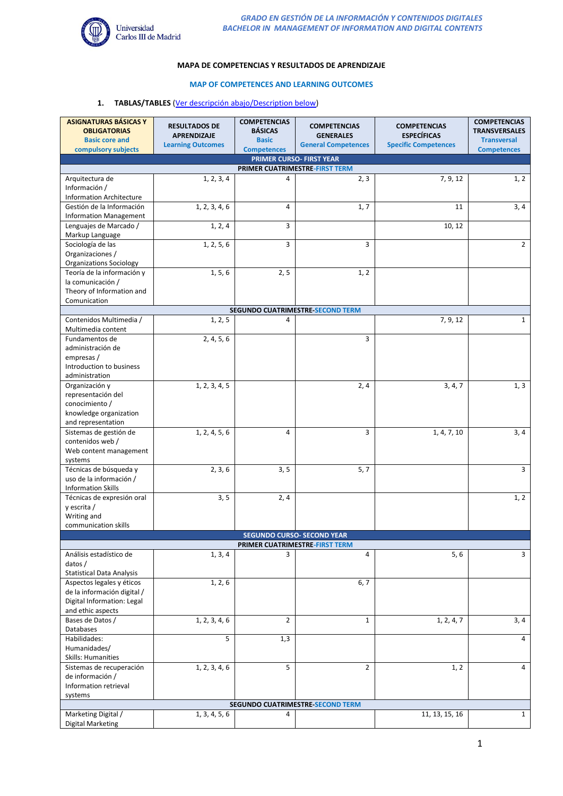

### **MAPA DE COMPETENCIAS Y RESULTADOS DE APRENDIZAJE**

#### **MAP OF COMPETENCES AND LEARNING OUTCOMES**

#### **1. TABLAS/TABLES** (Ver descripción abajo/Description below)

| <b>ASIGNATURAS BÁSICAS Y</b><br><b>OBLIGATORIAS</b>                 | <b>RESULTADOS DE</b>     | <b>COMPETENCIAS</b><br><b>BÁSICAS</b> | <b>COMPETENCIAS</b>              | <b>COMPETENCIAS</b>                               | <b>COMPETENCIAS</b><br><b>TRANSVERSALES</b> |  |  |  |
|---------------------------------------------------------------------|--------------------------|---------------------------------------|----------------------------------|---------------------------------------------------|---------------------------------------------|--|--|--|
| <b>Basic core and</b>                                               | <b>APRENDIZAJE</b>       | <b>Basic</b>                          | <b>GENERALES</b>                 | <b>ESPECÍFICAS</b><br><b>Specific Competences</b> | <b>Transversal</b>                          |  |  |  |
| compulsory subjects                                                 | <b>Learning Outcomes</b> | <b>Competences</b>                    | <b>General Competences</b>       |                                                   | <b>Competences</b>                          |  |  |  |
| <b>PRIMER CURSO- FIRST YEAR</b><br>PRIMER CUATRIMESTRE-FIRST TERM   |                          |                                       |                                  |                                                   |                                             |  |  |  |
| Arquitectura de                                                     | 1, 2, 3, 4               | 4                                     | 2, 3                             | 7, 9, 12                                          | 1, 2                                        |  |  |  |
| Información /                                                       |                          |                                       |                                  |                                                   |                                             |  |  |  |
| <b>Information Architecture</b>                                     |                          |                                       |                                  |                                                   |                                             |  |  |  |
| Gestión de la Información                                           | 1, 2, 3, 4, 6            | 4                                     | 1, 7                             | 11                                                | 3, 4                                        |  |  |  |
| <b>Information Management</b>                                       |                          |                                       |                                  |                                                   |                                             |  |  |  |
| Lenguajes de Marcado /<br>Markup Language                           | 1, 2, 4                  | 3                                     |                                  | 10, 12                                            |                                             |  |  |  |
| Sociología de las<br>Organizaciones /                               | 1, 2, 5, 6               | 3                                     | 3                                |                                                   | $\overline{2}$                              |  |  |  |
| <b>Organizations Sociology</b>                                      |                          |                                       |                                  |                                                   |                                             |  |  |  |
| Teoría de la información y                                          | 1, 5, 6                  | 2, 5                                  | 1, 2                             |                                                   |                                             |  |  |  |
| la comunicación /                                                   |                          |                                       |                                  |                                                   |                                             |  |  |  |
| Theory of Information and                                           |                          |                                       |                                  |                                                   |                                             |  |  |  |
| Comunication                                                        |                          |                                       | SEGUNDO CUATRIMESTRE-SECOND TERM |                                                   |                                             |  |  |  |
| Contenidos Multimedia /                                             | 1, 2, 5                  | 4                                     |                                  | 7, 9, 12                                          | $\mathbf{1}$                                |  |  |  |
| Multimedia content                                                  |                          |                                       |                                  |                                                   |                                             |  |  |  |
| Fundamentos de                                                      | 2, 4, 5, 6               |                                       | 3                                |                                                   |                                             |  |  |  |
| administración de                                                   |                          |                                       |                                  |                                                   |                                             |  |  |  |
| empresas /                                                          |                          |                                       |                                  |                                                   |                                             |  |  |  |
| Introduction to business<br>administration                          |                          |                                       |                                  |                                                   |                                             |  |  |  |
| Organización y                                                      | 1, 2, 3, 4, 5            |                                       | 2, 4                             | 3, 4, 7                                           | 1, 3                                        |  |  |  |
| representación del                                                  |                          |                                       |                                  |                                                   |                                             |  |  |  |
| conocimiento /                                                      |                          |                                       |                                  |                                                   |                                             |  |  |  |
| knowledge organization                                              |                          |                                       |                                  |                                                   |                                             |  |  |  |
| and representation<br>Sistemas de gestión de                        |                          | 4                                     | 3                                |                                                   | 3,4                                         |  |  |  |
| contenidos web /                                                    | 1, 2, 4, 5, 6            |                                       |                                  | 1, 4, 7, 10                                       |                                             |  |  |  |
| Web content management                                              |                          |                                       |                                  |                                                   |                                             |  |  |  |
| systems                                                             |                          |                                       |                                  |                                                   |                                             |  |  |  |
| Técnicas de búsqueda y                                              | $\overline{2}$ , 3, 6    | 3, 5                                  | 5, 7                             |                                                   | 3                                           |  |  |  |
| uso de la información /<br><b>Information Skills</b>                |                          |                                       |                                  |                                                   |                                             |  |  |  |
| Técnicas de expresión oral                                          | 3, 5                     | 2, 4                                  |                                  |                                                   | 1, 2                                        |  |  |  |
| y escrita $/$                                                       |                          |                                       |                                  |                                                   |                                             |  |  |  |
| Writing and                                                         |                          |                                       |                                  |                                                   |                                             |  |  |  |
| communication skills                                                |                          |                                       |                                  |                                                   |                                             |  |  |  |
| <b>SEGUNDO CURSO- SECOND YEAR</b><br>PRIMER CUATRIMESTRE-FIRST TERM |                          |                                       |                                  |                                                   |                                             |  |  |  |
| Análisis estadístico de                                             | 1, 3, 4                  | 3                                     | 4                                | 5, 6                                              | 3                                           |  |  |  |
| datos /                                                             |                          |                                       |                                  |                                                   |                                             |  |  |  |
| <b>Statistical Data Analysis</b>                                    |                          |                                       |                                  |                                                   |                                             |  |  |  |
| Aspectos legales y éticos                                           | 1, 2, 6                  |                                       | 6, 7                             |                                                   |                                             |  |  |  |
| de la información digital /<br>Digital Information: Legal           |                          |                                       |                                  |                                                   |                                             |  |  |  |
| and ethic aspects                                                   |                          |                                       |                                  |                                                   |                                             |  |  |  |
| Bases de Datos /                                                    | 1, 2, 3, 4, 6            | $\overline{2}$                        | $\mathbf{1}$                     | 1, 2, 4, 7                                        | 3, 4                                        |  |  |  |
| Databases                                                           |                          |                                       |                                  |                                                   |                                             |  |  |  |
| Habilidades:                                                        | 5                        | 1,3                                   |                                  |                                                   | 4                                           |  |  |  |
| Humanidades/<br>Skills: Humanities                                  |                          |                                       |                                  |                                                   |                                             |  |  |  |
| Sistemas de recuperación                                            | 1, 2, 3, 4, 6            | 5                                     | $\overline{2}$                   | 1, 2                                              | 4                                           |  |  |  |
| de información /                                                    |                          |                                       |                                  |                                                   |                                             |  |  |  |
| Information retrieval                                               |                          |                                       |                                  |                                                   |                                             |  |  |  |
| systems<br>SEGUNDO CUATRIMESTRE-SECOND TERM                         |                          |                                       |                                  |                                                   |                                             |  |  |  |
|                                                                     |                          |                                       |                                  |                                                   |                                             |  |  |  |
| Marketing Digital /<br><b>Digital Marketing</b>                     | 1, 3, 4, 5, 6            | 4                                     |                                  | 11, 13, 15, 16                                    | $\mathbf{1}$                                |  |  |  |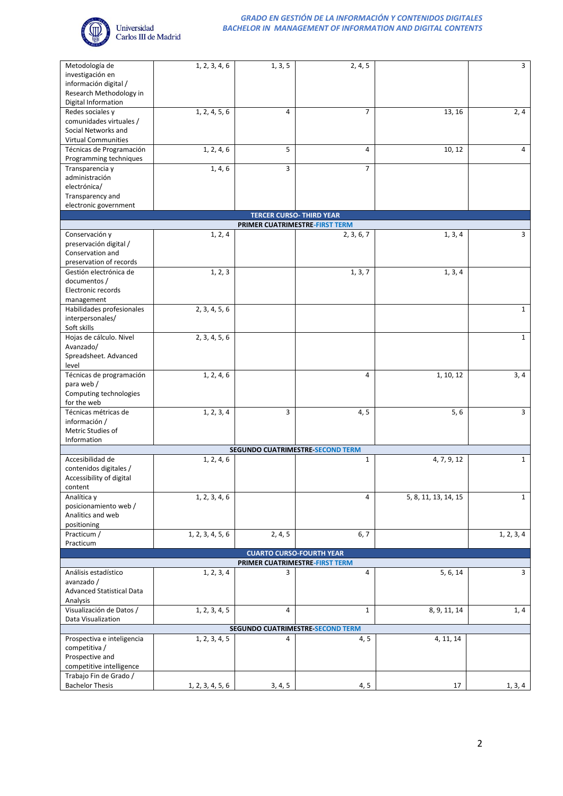

| Metodología de                   | 1, 2, 3, 4, 6    | 1, 3, 5                         | 2, 4, 5                                 |                      | $\overline{3}$ |
|----------------------------------|------------------|---------------------------------|-----------------------------------------|----------------------|----------------|
| investigación en                 |                  |                                 |                                         |                      |                |
| información digital /            |                  |                                 |                                         |                      |                |
| Research Methodology in          |                  |                                 |                                         |                      |                |
| Digital Information              |                  |                                 |                                         |                      |                |
| Redes sociales y                 | 1, 2, 4, 5, 6    | $\overline{4}$                  | $\overline{7}$                          | 13, 16               | 2, 4           |
| comunidades virtuales /          |                  |                                 |                                         |                      |                |
| Social Networks and              |                  |                                 |                                         |                      |                |
| <b>Virtual Communities</b>       |                  |                                 |                                         |                      |                |
| Técnicas de Programación         | 1, 2, 4, 6       | 5                               | 4                                       | 10, 12               | $\overline{4}$ |
| Programming techniques           |                  |                                 |                                         |                      |                |
|                                  | 1, 4, 6          | 3                               | $\overline{7}$                          |                      |                |
| Transparencia y                  |                  |                                 |                                         |                      |                |
| administración                   |                  |                                 |                                         |                      |                |
| electrónica/                     |                  |                                 |                                         |                      |                |
| Transparency and                 |                  |                                 |                                         |                      |                |
| electronic government            |                  |                                 |                                         |                      |                |
|                                  |                  | <b>TERCER CURSO- THIRD YEAR</b> |                                         |                      |                |
|                                  |                  | PRIMER CUATRIMESTRE-FIRST TERM  |                                         |                      |                |
| Conservación y                   | 1, 2, 4          |                                 | 2, 3, 6, 7                              | 1, 3, 4              | 3              |
| preservación digital /           |                  |                                 |                                         |                      |                |
| Conservation and                 |                  |                                 |                                         |                      |                |
| preservation of records          |                  |                                 |                                         |                      |                |
| Gestión electrónica de           | 1, 2, 3          |                                 | 1, 3, 7                                 | 1, 3, 4              |                |
| documentos /                     |                  |                                 |                                         |                      |                |
| Electronic records               |                  |                                 |                                         |                      |                |
| management                       |                  |                                 |                                         |                      |                |
| Habilidades profesionales        | 2, 3, 4, 5, 6    |                                 |                                         |                      | $\mathbf{1}$   |
| interpersonales/                 |                  |                                 |                                         |                      |                |
| Soft skills                      |                  |                                 |                                         |                      |                |
| Hojas de cálculo. Nivel          | 2, 3, 4, 5, 6    |                                 |                                         |                      | $\mathbf{1}$   |
| Avanzado/                        |                  |                                 |                                         |                      |                |
| Spreadsheet. Advanced            |                  |                                 |                                         |                      |                |
| level                            |                  |                                 |                                         |                      |                |
| Técnicas de programación         | 1, 2, 4, 6       |                                 | 4                                       | 1, 10, 12            | 3, 4           |
| para web /                       |                  |                                 |                                         |                      |                |
| Computing technologies           |                  |                                 |                                         |                      |                |
| for the web                      |                  |                                 |                                         |                      |                |
| Técnicas métricas de             | 1, 2, 3, 4       | 3                               | 4, 5                                    | 5,6                  | 3              |
| información /                    |                  |                                 |                                         |                      |                |
| Metric Studies of                |                  |                                 |                                         |                      |                |
| Information                      |                  |                                 |                                         |                      |                |
|                                  |                  |                                 | SEGUNDO CUATRIMESTRE-SECOND TERM        |                      |                |
| Accesibilidad de                 | 1, 2, 4, 6       |                                 | $\mathbf{1}$                            | 4, 7, 9, 12          | $\mathbf{1}$   |
| contenidos digitales /           |                  |                                 |                                         |                      |                |
| Accessibility of digital         |                  |                                 |                                         |                      |                |
| content                          |                  |                                 |                                         |                      |                |
| Analítica y                      | 1, 2, 3, 4, 6    |                                 | 4                                       | 5, 8, 11, 13, 14, 15 | $\mathbf{1}$   |
| posicionamiento web /            |                  |                                 |                                         |                      |                |
| Analitics and web                |                  |                                 |                                         |                      |                |
| positioning                      |                  |                                 |                                         |                      |                |
| Practicum /                      | 1, 2, 3, 4, 5, 6 | 2, 4, 5                         | 6, 7                                    |                      | 1, 2, 3, 4     |
| Practicum                        |                  |                                 |                                         |                      |                |
|                                  |                  | <b>CUARTO CURSO-FOURTH YEAR</b> |                                         |                      |                |
|                                  |                  | PRIMER CUATRIMESTRE-FIRST TERM  |                                         |                      |                |
| Análisis estadístico             | 1, 2, 3, 4       | 3                               | 4                                       | 5, 6, 14             | 3              |
| avanzado /                       |                  |                                 |                                         |                      |                |
| <b>Advanced Statistical Data</b> |                  |                                 |                                         |                      |                |
| Analysis                         |                  |                                 |                                         |                      |                |
| Visualización de Datos /         | 1, 2, 3, 4, 5    | 4                               | $\mathbf{1}$                            | 8, 9, 11, 14         | 1, 4           |
| Data Visualization               |                  |                                 |                                         |                      |                |
|                                  |                  |                                 | <b>SEGUNDO CUATRIMESTRE SECOND TERM</b> |                      |                |
| Prospectiva e inteligencia       | 1, 2, 3, 4, 5    | 4                               | 4, 5                                    | 4, 11, 14            |                |
| competitiva /                    |                  |                                 |                                         |                      |                |
| Prospective and                  |                  |                                 |                                         |                      |                |
| competitive intelligence         |                  |                                 |                                         |                      |                |
| Trabajo Fin de Grado /           |                  |                                 |                                         |                      |                |
| <b>Bachelor Thesis</b>           | 1, 2, 3, 4, 5, 6 | 3, 4, 5                         | 4, 5                                    | 17                   | 1, 3, 4        |
|                                  |                  |                                 |                                         |                      |                |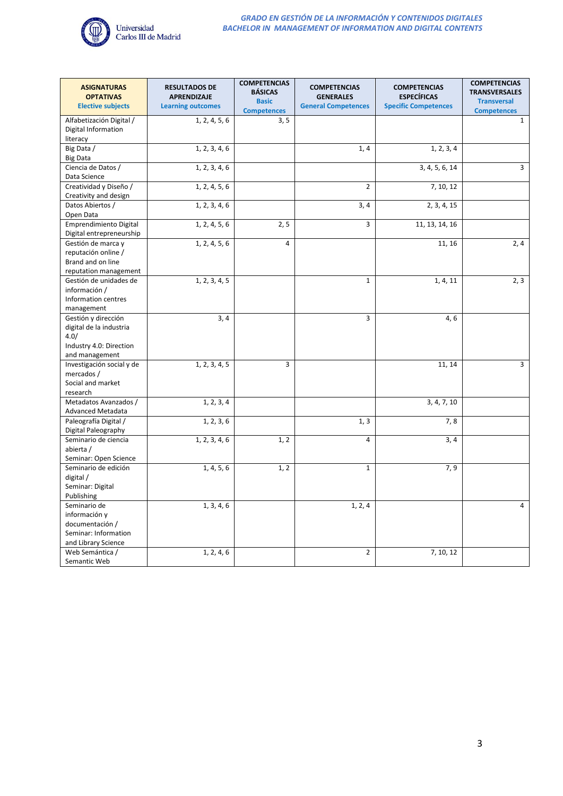

| <b>ASIGNATURAS</b><br><b>OPTATIVAS</b>                                                              | <b>RESULTADOS DE</b><br><b>APRENDIZAJE</b> | <b>COMPETENCIAS</b><br><b>BÁSICAS</b> | <b>COMPETENCIAS</b><br><b>GENERALES</b> | <b>COMPETENCIAS</b><br><b>ESPECÍFICAS</b> | <b>COMPETENCIAS</b><br><b>TRANSVERSALES</b> |
|-----------------------------------------------------------------------------------------------------|--------------------------------------------|---------------------------------------|-----------------------------------------|-------------------------------------------|---------------------------------------------|
| <b>Elective subjects</b>                                                                            | <b>Learning outcomes</b>                   | <b>Basic</b><br><b>Competences</b>    | <b>General Competences</b>              | <b>Specific Competences</b>               | <b>Transversal</b><br><b>Competences</b>    |
| Alfabetización Digital /<br>Digital Information<br>literacy                                         | 1, 2, 4, 5, 6                              | 3, 5                                  |                                         |                                           | $\mathbf{1}$                                |
| Big Data /<br><b>Big Data</b>                                                                       | 1, 2, 3, 4, 6                              |                                       | 1, 4                                    | 1, 2, 3, 4                                |                                             |
| Ciencia de Datos /<br>Data Science                                                                  | 1, 2, 3, 4, 6                              |                                       |                                         | 3, 4, 5, 6, 14                            | 3                                           |
| Creatividad y Diseño /<br>Creativity and design                                                     | 1, 2, 4, 5, 6                              |                                       | $\overline{2}$                          | 7, 10, 12                                 |                                             |
| Datos Abiertos /<br>Open Data                                                                       | 1, 2, 3, 4, 6                              |                                       | 3, 4                                    | 2, 3, 4, 15                               |                                             |
| Emprendimiento Digital<br>Digital entrepreneurship                                                  | 1, 2, 4, 5, 6                              | 2, 5                                  | 3                                       | 11, 13, 14, 16                            |                                             |
| Gestión de marca y<br>reputación online /<br>Brand and on line<br>reputation management             | 1, 2, 4, 5, 6                              | $\overline{4}$                        |                                         | 11, 16                                    | 2,4                                         |
| Gestión de unidades de<br>información /<br>Information centres<br>management                        | 1, 2, 3, 4, 5                              |                                       | $\mathbf{1}$                            | 1, 4, 11                                  | 2, 3                                        |
| Gestión y dirección<br>digital de la industria<br>4.0/<br>Industry 4.0: Direction<br>and management | 3, 4                                       |                                       | 3                                       | 4,6                                       |                                             |
| Investigación social y de<br>mercados /<br>Social and market<br>research                            | 1, 2, 3, 4, 5                              | 3                                     |                                         | 11, 14                                    | $\overline{3}$                              |
| Metadatos Avanzados /<br>Advanced Metadata                                                          | 1, 2, 3, 4                                 |                                       |                                         | 3, 4, 7, 10                               |                                             |
| Paleografía Digital /<br>Digital Paleography                                                        | 1, 2, 3, 6                                 |                                       | 1, 3                                    | 7,8                                       |                                             |
| Seminario de ciencia<br>abierta /<br>Seminar: Open Science                                          | 1, 2, 3, 4, 6                              | 1, 2                                  | 4                                       | 3, 4                                      |                                             |
| Seminario de edición<br>digital /<br>Seminar: Digital<br>Publishing                                 | 1, 4, 5, 6                                 | 1, 2                                  | $\mathbf{1}$                            | 7, 9                                      |                                             |
| Seminario de<br>información y<br>documentación /<br>Seminar: Information<br>and Library Science     | 1, 3, 4, 6                                 |                                       | 1, 2, 4                                 |                                           | 4                                           |
| Web Semántica /<br>Semantic Web                                                                     | 1, 2, 4, 6                                 |                                       | $\overline{2}$                          | 7, 10, 12                                 |                                             |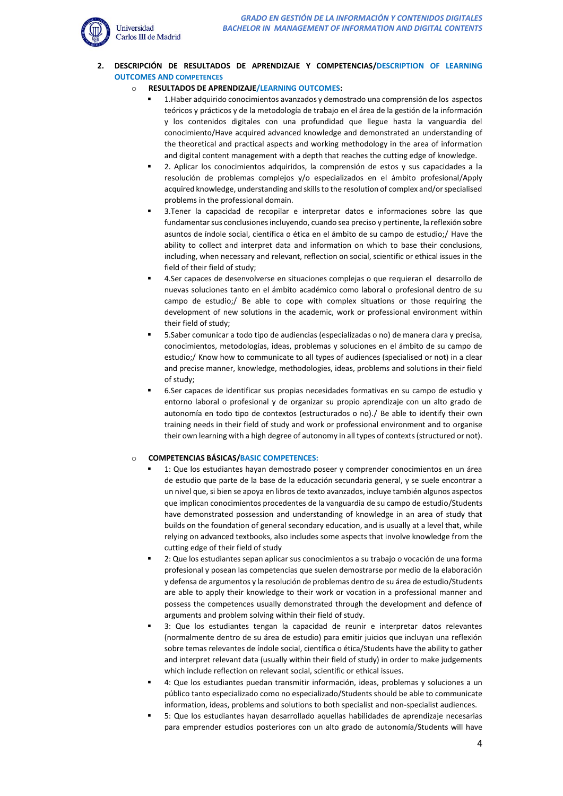

**2. DESCRIPCIÓN DE RESULTADOS DE APRENDIZAJE Y COMPETENCIAS/DESCRIPTION OF LEARNING OUTCOMES AND COMPETENCES**

# o **RESULTADOS DE APRENDIZAJE/LEARNING OUTCOMES:**

- 1. Haber adquirido conocimientos avanzados y demostrado una comprensión de los aspectos teóricos y prácticos y de la metodología de trabajo en el área de la gestión de la información y los contenidos digitales con una profundidad que llegue hasta la vanguardia del conocimiento/Have acquired advanced knowledge and demonstrated an understanding of the theoretical and practical aspects and working methodology in the area of information and digital content management with a depth that reaches the cutting edge of knowledge.
- 2. Aplicar los conocimientos adquiridos, la comprensión de estos y sus capacidades a la resolución de problemas complejos y/o especializados en el ámbito profesional/Apply acquired knowledge, understanding and skills to the resolution of complex and/or specialised problems in the professional domain.
- 3.Tener la capacidad de recopilar e interpretar datos e informaciones sobre las que fundamentar sus conclusiones incluyendo, cuando sea preciso y pertinente, la reflexión sobre asuntos de índole social, científica o ética en el ámbito de su campo de estudio;/ Have the ability to collect and interpret data and information on which to base their conclusions, including, when necessary and relevant, reflection on social, scientific or ethical issues in the field of their field of study;
- 4.Ser capaces de desenvolverse en situaciones complejas o que requieran el desarrollo de nuevas soluciones tanto en el ámbito académico como laboral o profesional dentro de su campo de estudio;/ Be able to cope with complex situations or those requiring the development of new solutions in the academic, work or professional environment within their field of study;
- 5.Saber comunicar a todo tipo de audiencias (especializadas o no) de manera clara y precisa, conocimientos, metodologías, ideas, problemas y soluciones en el ámbito de su campo de estudio;/ Know how to communicate to all types of audiences (specialised or not) in a clear and precise manner, knowledge, methodologies, ideas, problems and solutions in their field of study;
- 6.Ser capaces de identificar sus propias necesidades formativas en su campo de estudio y entorno laboral o profesional y de organizar su propio aprendizaje con un alto grado de autonomía en todo tipo de contextos (estructurados o no)./ Be able to identify their own training needs in their field of study and work or professional environment and to organise their own learning with a high degree of autonomy in all types of contexts (structured or not).

### o **COMPETENCIAS BÁSICAS/BASIC COMPETENCES:**

- 1: Que los estudiantes hayan demostrado poseer y comprender conocimientos en un área de estudio que parte de la base de la educación secundaria general, y se suele encontrar a un nivel que, si bien se apoya en libros de texto avanzados, incluye también algunos aspectos que implican conocimientos procedentes de la vanguardia de su campo de estudio/Students have demonstrated possession and understanding of knowledge in an area of study that builds on the foundation of general secondary education, and is usually at a level that, while relying on advanced textbooks, also includes some aspects that involve knowledge from the cutting edge of their field of study
- 2: Que los estudiantes sepan aplicar sus conocimientos a su trabajo o vocación de una forma profesional y posean las competencias que suelen demostrarse por medio de la elaboración y defensa de argumentos y la resolución de problemas dentro de su área de estudio/Students are able to apply their knowledge to their work or vocation in a professional manner and possess the competences usually demonstrated through the development and defence of arguments and problem solving within their field of study.
- 3: Que los estudiantes tengan la capacidad de reunir e interpretar datos relevantes (normalmente dentro de su área de estudio) para emitir juicios que incluyan una reflexión sobre temas relevantes de índole social, científica o ética/Students have the ability to gather and interpret relevant data (usually within their field of study) in order to make judgements which include reflection on relevant social, scientific or ethical issues.
- 4: Que los estudiantes puedan transmitir información, ideas, problemas y soluciones a un público tanto especializado como no especializado/Students should be able to communicate information, ideas, problems and solutions to both specialist and non-specialist audiences.
- 5: Que los estudiantes hayan desarrollado aquellas habilidades de aprendizaje necesarias para emprender estudios posteriores con un alto grado de autonomía/Students will have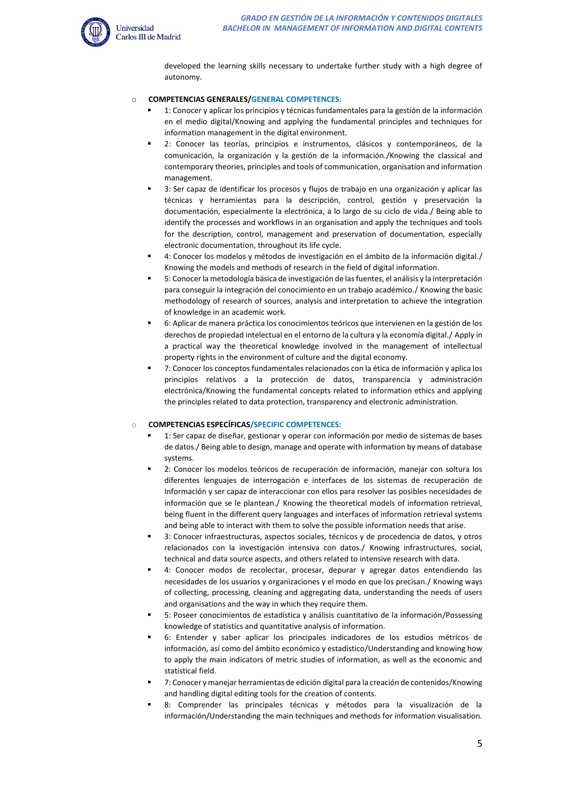

developed the learning skills necessary to undertake further study with a high degree of autonomy.

## o **COMPETENCIAS GENERALES/GENERAL COMPETENCES:**

- 1: Conocer y aplicar los principios y técnicas fundamentales para la gestión de la información en el medio digital/Knowing and applying the fundamental principles and techniques for information management in the digital environment.
- 2: Conocer las teorías, principios e instrumentos, clásicos y contemporáneos, de la comunicación, la organización y la gestión de la información./Knowing the classical and contemporary theories, principles and tools of communication, organisation and information management.
- 3: Ser capaz de identificar los procesos y flujos de trabajo en una organización y aplicar las técnicas y herramientas para la descripción, control, gestión y preservación la documentación, especialmente la electrónica, a lo largo de su ciclo de vida./ Being able to identify the processes and workflows in an organisation and apply the techniques and tools for the description, control, management and preservation of documentation, especially electronic documentation, throughout its life cycle.
- 4: Conocer los modelos y métodos de investigación en el ámbito de la información digital./ Knowing the models and methods of research in the field of digital information.
- 5: Conocer la metodología básica de investigación de las fuentes, el análisis y la interpretación para conseguir la integración del conocimiento en un trabajo académico./ Knowing the basic methodology of research of sources, analysis and interpretation to achieve the integration of knowledge in an academic work.
- 6: Aplicar de manera práctica los conocimientos teóricos que intervienen en la gestión de los derechos de propiedad intelectual en el entorno de la cultura y la economía digital./ Apply in a practical way the theoretical knowledge involved in the management of intellectual property rights in the environment of culture and the digital economy.
- 7: Conocer los conceptos fundamentales relacionados con la ética de información y aplica los principios relativos a la protección de datos, transparencia y administración electrónica/Knowing the fundamental concepts related to information ethics and applying the principles related to data protection, transparency and electronic administration.

### o **COMPETENCIAS ESPECÍFICAS/SPECIFIC COMPETENCES:**

- 1: Ser capaz de diseñar, gestionar y operar con información por medio de sistemas de bases de datos./ Being able to design, manage and operate with information by means of database systems.
- 2: Conocer los modelos teóricos de recuperación de información, manejar con soltura los diferentes lenguajes de interrogación e interfaces de los sistemas de recuperación de Información y ser capaz de interaccionar con ellos para resolver las posibles necesidades de información que se le plantean./ Knowing the theoretical models of information retrieval, being fluent in the different query languages and interfaces of information retrieval systems and being able to interact with them to solve the possible information needs that arise.
- 3: Conocer infraestructuras, aspectos sociales, técnicos y de procedencia de datos, y otros relacionados con la investigación intensiva con datos./ Knowing infrastructures, social, technical and data source aspects, and others related to intensive research with data.
- 4: Conocer modos de recolectar, procesar, depurar y agregar datos entendiendo las necesidades de los usuarios y organizaciones y el modo en que los precisan./ Knowing ways of collecting, processing, cleaning and aggregating data, understanding the needs of users and organisations and the way in which they require them.
- 5: Poseer conocimientos de estadística y análisis cuantitativo de la información/Possessing knowledge of statistics and quantitative analysis of information.
- 6: Entender y saber aplicar los principales indicadores de los estudios métricos de información, así como del ámbito económico y estadístico/Understanding and knowing how to apply the main indicators of metric studies of information, as well as the economic and statistical field.
- 7: Conocer y manejar herramientas de edición digital para la creación de contenidos/Knowing and handling digital editing tools for the creation of contents.
- 8: Comprender las principales técnicas y métodos para la visualización de la información/Understanding the main techniques and methods for information visualisation.